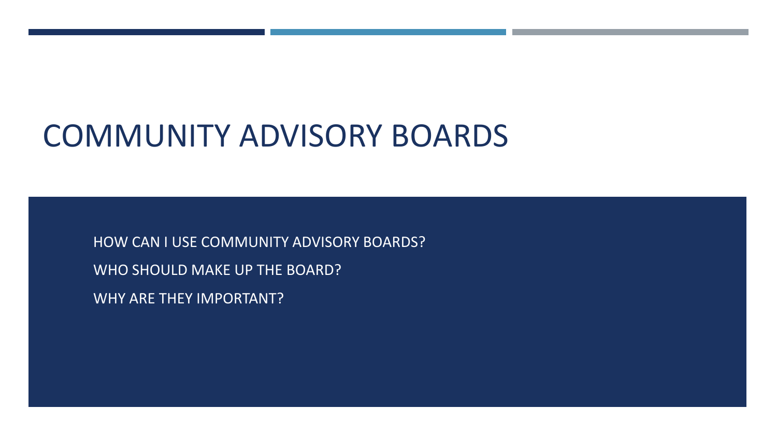# COMMUNITY ADVISORY BOARDS

HOW CAN I USE COMMUNITY ADVISORY BOARDS? WHO SHOULD MAKE UP THE BOARD? WHY ARE THEY IMPORTANT?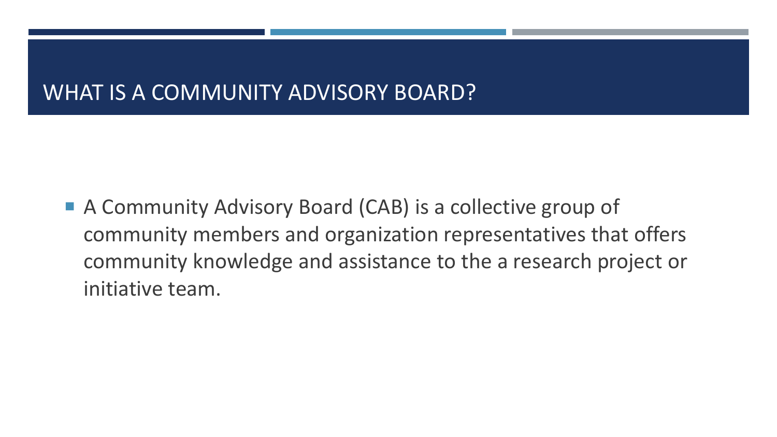## WHAT IS A COMMUNITY ADVISORY BOARD?

■ A Community Advisory Board (CAB) is a collective group of community members and organization representatives that offers community knowledge and assistance to the a research project or initiative team.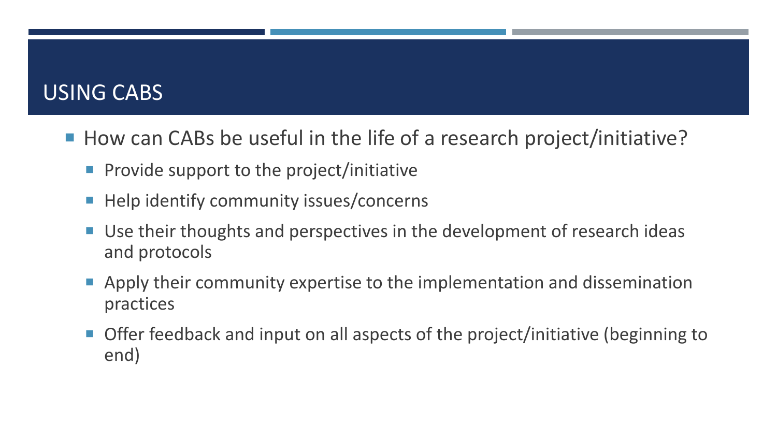#### USING CABS

- How can CABs be useful in the life of a research project/initiative?
	- Provide support to the project/initiative
	- Help identify community issues/concerns
	- Use their thoughts and perspectives in the development of research ideas and protocols
	- Apply their community expertise to the implementation and dissemination practices
	- Offer feedback and input on all aspects of the project/initiative (beginning to end)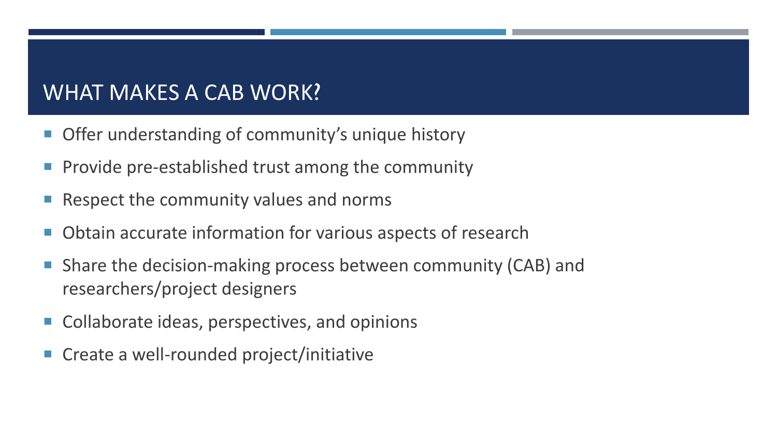## WHAT MAKES A CAB WORK?

- **Offer understanding of community's unique history**
- Provide pre-established trust among the community
- Respect the community values and norms
- Obtain accurate information for various aspects of research
- Share the decision-making process between community (CAB) and researchers/project designers
- Collaborate ideas, perspectives, and opinions
- Create a well-rounded project/initiative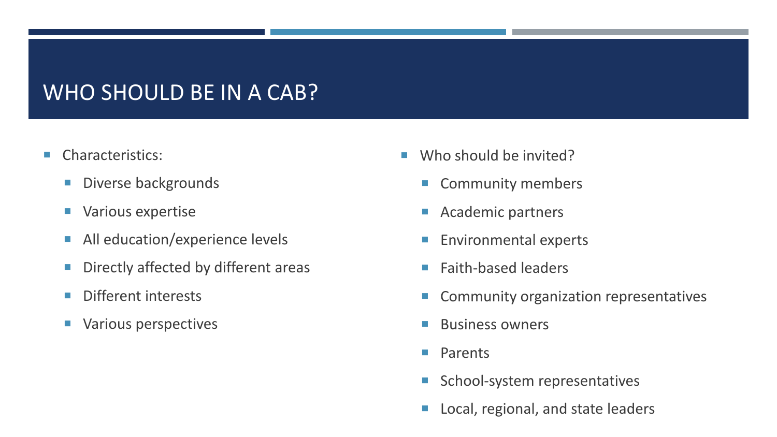#### WHO SHOULD BE IN A CAB?

- **Characteristics:** 
	- Diverse backgrounds
	- **Various expertise**
	- **All education/experience levels**
	- **Directly affected by different areas**
	- **Different interests**
	- **Various perspectives**
- Who should be invited?
	- Community members
	- **Academic partners**
	- **Environmental experts**
	- $\blacksquare$  Faith-based leaders
	- Community organization representatives
	- Business owners
	- **Parents**
	- School-system representatives
	- **Local, regional, and state leaders**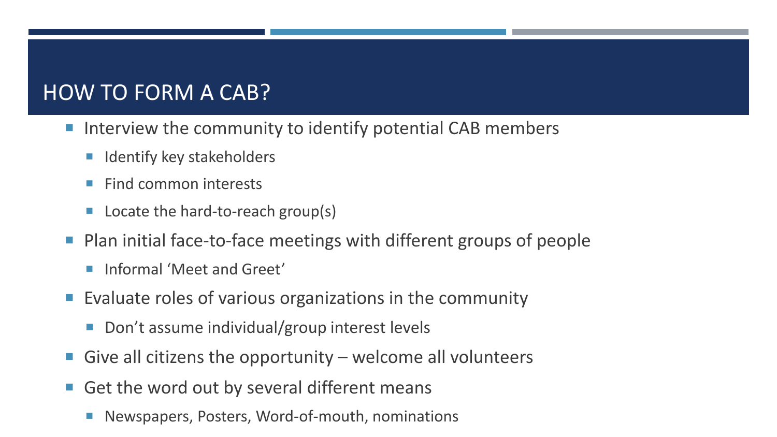## HOW TO FORM A CAB?

- Interview the community to identify potential CAB members
	- **In Identify key stakeholders**
	- $\blacksquare$  Find common interests
	- Locate the hard-to-reach group(s)
- Plan initial face-to-face meetings with different groups of people
	- **Informal 'Meet and Greet'**
- Evaluate roles of various organizations in the community
	- Don't assume individual/group interest levels
- Give all citizens the opportunity welcome all volunteers
- Get the word out by several different means
	- Newspapers, Posters, Word-of-mouth, nominations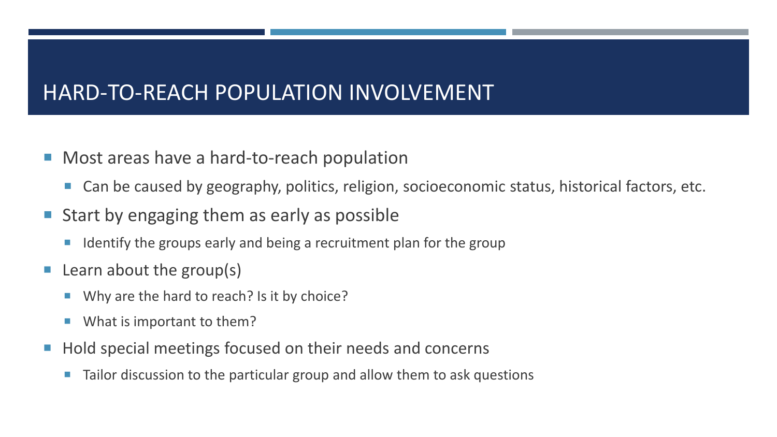#### HARD-TO-REACH POPULATION INVOLVEMENT

- Most areas have a hard-to-reach population
	- Can be caused by geography, politics, religion, socioeconomic status, historical factors, etc.
- Start by engaging them as early as possible
	- I Identify the groups early and being a recruitment plan for the group
- $\blacksquare$  Learn about the group(s)
	- Why are the hard to reach? Is it by choice?
	- What is important to them?
- Hold special meetings focused on their needs and concerns
	- Tailor discussion to the particular group and allow them to ask questions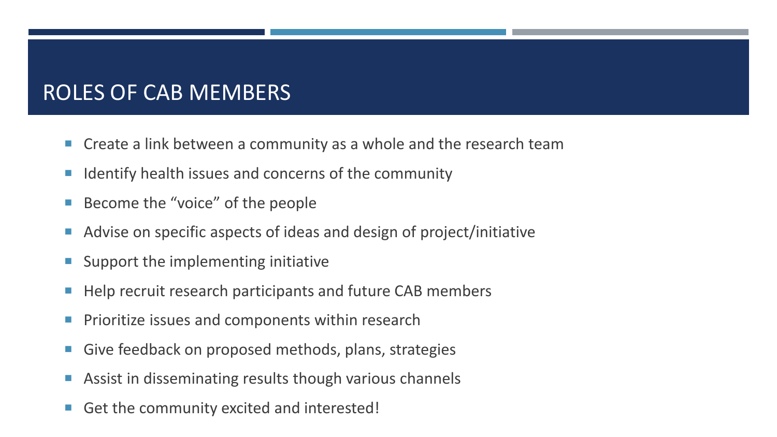# ROLES OF CAB MEMBERS

- Create a link between a community as a whole and the research team
- $\blacksquare$  Identify health issues and concerns of the community
- Become the "voice" of the people
- Advise on specific aspects of ideas and design of project/initiative
- **Support the implementing initiative**
- Help recruit research participants and future CAB members
- **Prioritize issues and components within research**
- Give feedback on proposed methods, plans, strategies
- **Assist in disseminating results though various channels**
- Get the community excited and interested!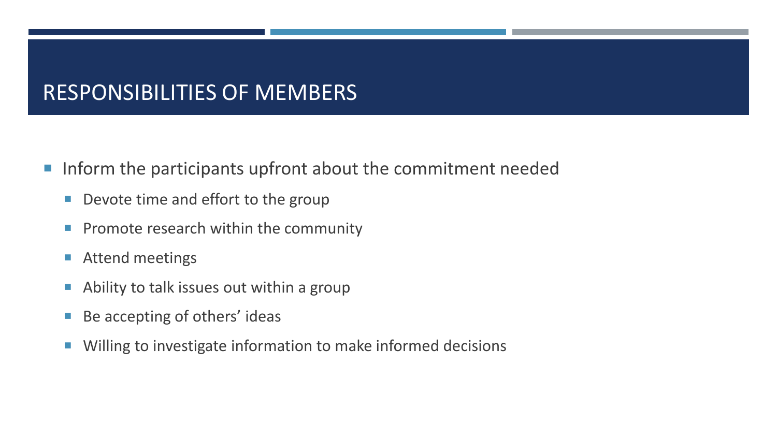## RESPONSIBILITIES OF MEMBERS

- **If inform the participants upfront about the commitment needed** 
	- Devote time and effort to the group
	- **Promote research within the community**
	- **Attend meetings**
	- **Ability to talk issues out within a group**
	- Be accepting of others' ideas
	- **Willing to investigate information to make informed decisions**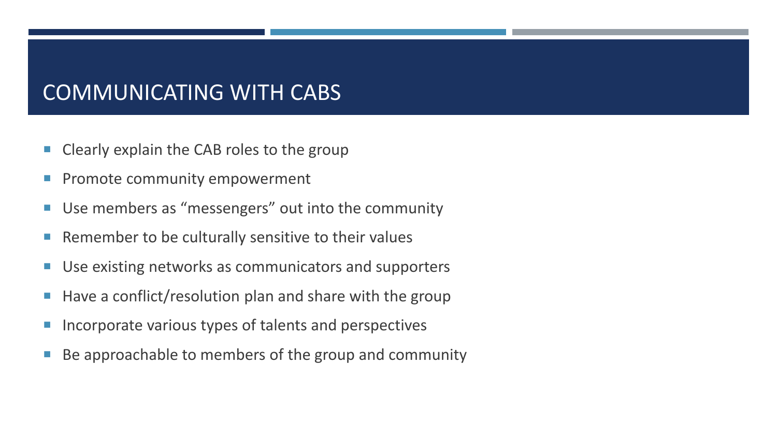## COMMUNICATING WITH CABS

- Clearly explain the CAB roles to the group
- **Promote community empowerment**
- Use members as "messengers" out into the community
- **Remember to be culturally sensitive to their values**
- **Use existing networks as communicators and supporters**
- $\blacksquare$  Have a conflict/resolution plan and share with the group
- Incorporate various types of talents and perspectives
- Be approachable to members of the group and community